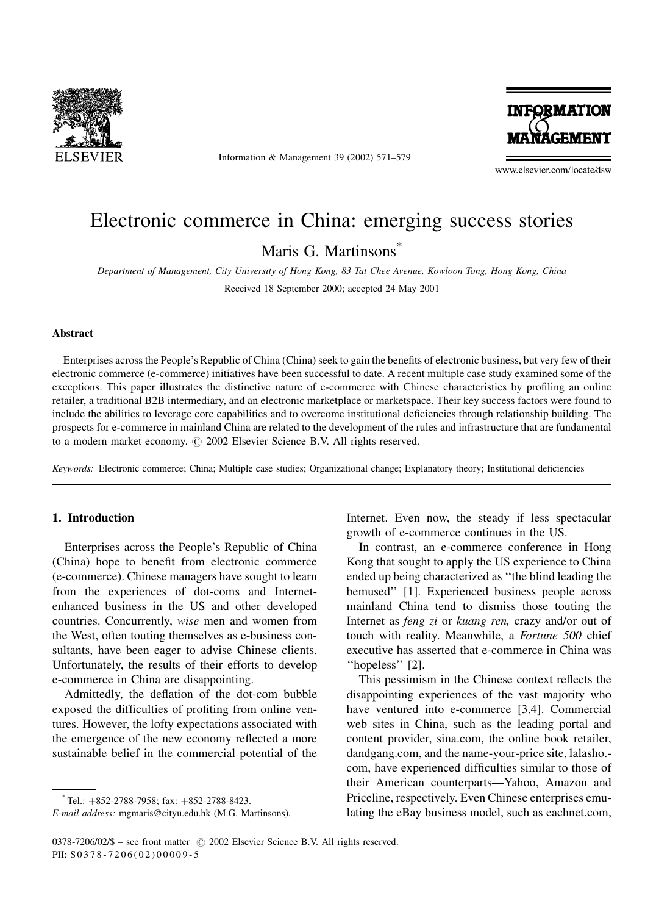

Information & Management 39 (2002) 571–579



www.elsevier.com/locate/dsw

# Electronic commerce in China: emerging success stories

Maris G. Martinsons<sup>\*</sup>

Department of Management, City University of Hong Kong, 83 Tat Chee Avenue, Kowloon Tong, Hong Kong, China Received 18 September 2000; accepted 24 May 2001

#### Abstract

Enterprises across the People's Republic of China (China) seek to gain the benefits of electronic business, but very few of their electronic commerce (e-commerce) initiatives have been successful to date. A recent multiple case study examined some of the exceptions. This paper illustrates the distinctive nature of e-commerce with Chinese characteristics by profiling an online retailer, a traditional B2B intermediary, and an electronic marketplace or marketspace. Their key success factors were found to include the abilities to leverage core capabilities and to overcome institutional deficiencies through relationship building. The prospects for e-commerce in mainland China are related to the development of the rules and infrastructure that are fundamental to a modern market economy.  $\odot$  2002 Elsevier Science B.V. All rights reserved.

Keywords: Electronic commerce; China; Multiple case studies; Organizational change; Explanatory theory; Institutional deficiencies

## 1. Introduction

Enterprises across the People's Republic of China (China) hope to benefit from electronic commerce (e-commerce). Chinese managers have sought to learn from the experiences of dot-coms and Internetenhanced business in the US and other developed countries. Concurrently, wise men and women from the West, often touting themselves as e-business consultants, have been eager to advise Chinese clients. Unfortunately, the results of their efforts to develop e-commerce in China are disappointing.

Admittedly, the deflation of the dot-com bubble exposed the difficulties of profiting from online ventures. However, the lofty expectations associated with the emergence of the new economy reflected a more sustainable belief in the commercial potential of the

Internet. Even now, the steady if less spectacular growth of e-commerce continues in the US.

In contrast, an e-commerce conference in Hong Kong that sought to apply the US experience to China ended up being characterized as ''the blind leading the bemused'' [1]. Experienced business people across mainland China tend to dismiss those touting the Internet as feng zi or kuang ren, crazy and/or out of touch with reality. Meanwhile, a Fortune 500 chief executive has asserted that e-commerce in China was ''hopeless'' [2].

This pessimism in the Chinese context reflects the disappointing experiences of the vast majority who have ventured into e-commerce [3,4]. Commercial web sites in China, such as the leading portal and content provider, sina.com, the online book retailer, dandgang.com, and the name-your-price site, lalasho. com, have experienced difficulties similar to those of their American counterparts—Yahoo, Amazon and Priceline, respectively. Even Chinese enterprises emulating the eBay business model, such as eachnet.com,

 $T$ el.:  $+852-2788-7958$ ; fax:  $+852-2788-8423$ .

E-mail address: mgmaris@cityu.edu.hk (M.G. Martinsons).

 $0378-7206/02/\$$  – see front matter  $\circ$  2002 Elsevier Science B.V. All rights reserved. PII: S 0378-7206(02)00009-5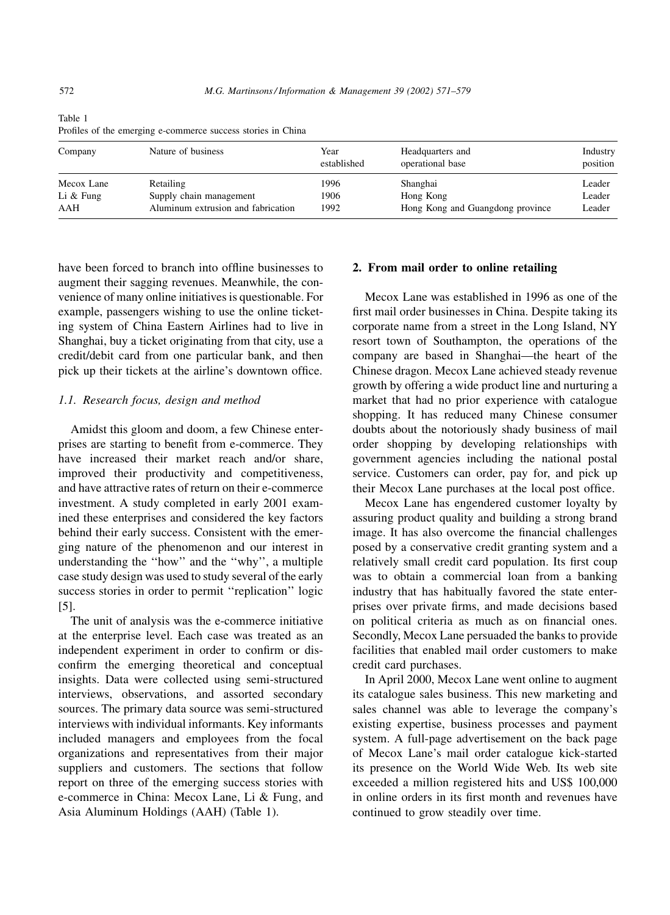| Company     | Nature of business                 | Year<br>established | Headquarters and<br>operational base | Industry<br>position |
|-------------|------------------------------------|---------------------|--------------------------------------|----------------------|
| Mecox Lane  | Retailing                          | 1996                | Shanghai                             | Leader               |
| Li $&$ Fung | Supply chain management            | 1906                | Hong Kong                            | Leader               |
| AAH         | Aluminum extrusion and fabrication | 1992                | Hong Kong and Guangdong province     | Leader               |

Table 1 Profiles of the emerging e-commerce success stories in China

have been forced to branch into offline businesses to augment their sagging revenues. Meanwhile, the convenience of many online initiatives is questionable. For example, passengers wishing to use the online ticketing system of China Eastern Airlines had to live in Shanghai, buy a ticket originating from that city, use a credit/debit card from one particular bank, and then pick up their tickets at the airline's downtown office.

#### 1.1. Research focus, design and method

Amidst this gloom and doom, a few Chinese enterprises are starting to benefit from e-commerce. They have increased their market reach and/or share, improved their productivity and competitiveness, and have attractive rates of return on their e-commerce investment. A study completed in early 2001 examined these enterprises and considered the key factors behind their early success. Consistent with the emerging nature of the phenomenon and our interest in understanding the ''how'' and the ''why'', a multiple case study design was used to study several of the early success stories in order to permit ''replication'' logic [5].

The unit of analysis was the e-commerce initiative at the enterprise level. Each case was treated as an independent experiment in order to confirm or disconfirm the emerging theoretical and conceptual insights. Data were collected using semi-structured interviews, observations, and assorted secondary sources. The primary data source was semi-structured interviews with individual informants. Key informants included managers and employees from the focal organizations and representatives from their major suppliers and customers. The sections that follow report on three of the emerging success stories with e-commerce in China: Mecox Lane, Li & Fung, and Asia Aluminum Holdings (AAH) (Table 1).

### 2. From mail order to online retailing

Mecox Lane was established in 1996 as one of the first mail order businesses in China. Despite taking its corporate name from a street in the Long Island, NY resort town of Southampton, the operations of the company are based in Shanghai—the heart of the Chinese dragon. Mecox Lane achieved steady revenue growth by offering a wide product line and nurturing a market that had no prior experience with catalogue shopping. It has reduced many Chinese consumer doubts about the notoriously shady business of mail order shopping by developing relationships with government agencies including the national postal service. Customers can order, pay for, and pick up their Mecox Lane purchases at the local post office.

Mecox Lane has engendered customer loyalty by assuring product quality and building a strong brand image. It has also overcome the financial challenges posed by a conservative credit granting system and a relatively small credit card population. Its first coup was to obtain a commercial loan from a banking industry that has habitually favored the state enterprises over private firms, and made decisions based on political criteria as much as on financial ones. Secondly, Mecox Lane persuaded the banks to provide facilities that enabled mail order customers to make credit card purchases.

In April 2000, Mecox Lane went online to augment its catalogue sales business. This new marketing and sales channel was able to leverage the company's existing expertise, business processes and payment system. A full-page advertisement on the back page of Mecox Lane's mail order catalogue kick-started its presence on the World Wide Web. Its web site exceeded a million registered hits and US\$ 100,000 in online orders in its first month and revenues have continued to grow steadily over time.